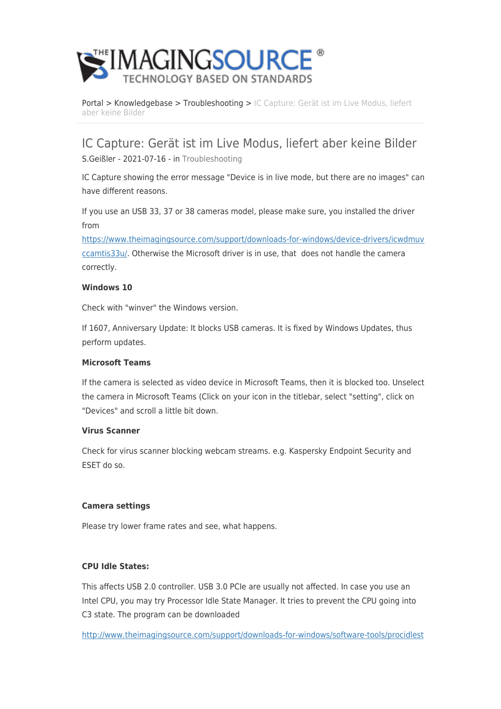

[Portal](https://theimagingsource.deskpro.com/en) > [Knowledgebase](https://theimagingsource.deskpro.com/en/kb) > [Troubleshooting](https://theimagingsource.deskpro.com/en/kb/troubleshooting) > [IC Capture: Gerät ist im Live Modus, liefert](https://theimagingsource.deskpro.com/en/kb/articles/ic-capture-ger-t-ist-im-live-modus-liefert-aber-keine-bilder) [aber keine Bilder](https://theimagingsource.deskpro.com/en/kb/articles/ic-capture-ger-t-ist-im-live-modus-liefert-aber-keine-bilder)

IC Capture: Gerät ist im Live Modus, liefert aber keine Bilder

S.Geißler - 2021-07-16 - in [Troubleshooting](https://theimagingsource.deskpro.com/en/kb/troubleshooting)

IC Capture showing the error message "Device is in live mode, but there are no images" can have different reasons.

If you use an USB 33, 37 or 38 cameras model, please make sure, you installed the driver from

[https://www.theimagingsource.com/support/downloads-for-windows/device-drivers/icwdmuv](https://www.theimagingsource.com/support/downloads-for-windows/device-drivers/icwdmuvccamtis33u/) [ccamtis33u/](https://www.theimagingsource.com/support/downloads-for-windows/device-drivers/icwdmuvccamtis33u/). Otherwise the Microsoft driver is in use, that does not handle the camera correctly.

## **Windows 10**

Check with "winver" the Windows version.

If 1607, Anniversary Update: It blocks USB cameras. It is fixed by Windows Updates, thus perform updates.

### **Microsoft Teams**

If the camera is selected as video device in Microsoft Teams, then it is blocked too. Unselect the camera in Microsoft Teams (Click on your icon in the titlebar, select "setting", click on "Devices" and scroll a little bit down.

### **Virus Scanner**

Check for virus scanner blocking webcam streams. e.g. Kaspersky Endpoint Security and ESET do so.

### **Camera settings**

Please try lower frame rates and see, what happens.

# **CPU Idle States:**

This affects USB 2.0 controller. USB 3.0 PCIe are usually not affected. In case you use an Intel CPU, you may try Processor Idle State Manager. It tries to prevent the CPU going into C3 state. The program can be downloaded

[http://www.theimagingsource.com/support/downloads-for-windows/software-tools/procidlest](http://www.theimagingsource.com/support/downloads-for-windows/software-tools/procidlestateman/)